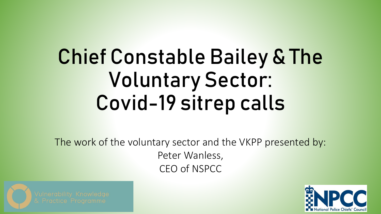# Chief Constable Bailey & The Voluntary Sector: Covid-19 sitrep calls

The work of the voluntary sector and the VKPP presented by: Peter Wanless, CEO of NSPCC



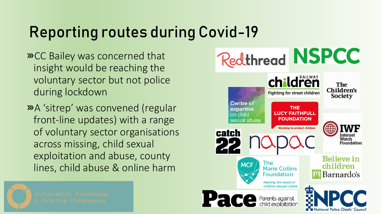### Reporting routes during Covid-19

- **»CC Bailey was concerned that** insight would be reaching the voluntary sector but not police during lockdown
- A 'sitrep' was convened (regular front-line updates) with a range of voluntary sector organisations across missing, child sexual exploitation and abuse, county lines, child abuse & online harm



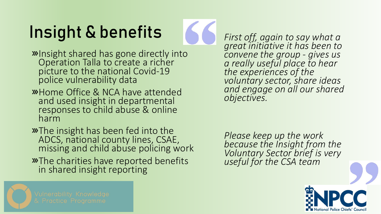# Insight & benefits



- **»**Insight shared has gone directly into Operation Talla to create a richer picture to the national Covid-19 police vulnerability data
- Home Office & NCA have attended and used insight in departmental responses to child abuse & online harm
- **»**The insight has been fed into the ADCS, national county lines, CSAE, missing and child abuse policing work
- **»**The charities have reported benefits in shared insight reporting

*First off, again to say what a great initiative it has been to convene the group - gives us a really useful place to hear the experiences of the voluntary sector, share ideas and engage on all our shared objectives.*

*Please keep up the work because the Insight from the Voluntary Sector brief is very useful for the CSA team*



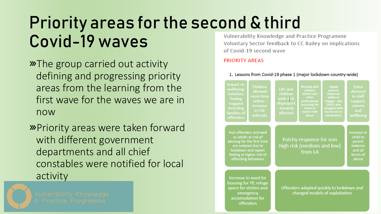## Priority areas for the second & third Covid-19 waves

- **»**The group carried out activity defining and progressing priority areas from the learning from the first wave for the waves we are in now
- **»**Priority areas were taken forward with different government departments and all chief constables were notified for local activity



Vulnerability Knowledge and Practice Programme Voluntary Sector feedback to CC Bailey on implications of Covid-19 second wave

#### **PRIORITY AREAS**

#### 1. Lessons from Covid-19 phase 1 (major lockdown country-wide)

| Impact on<br>wellbeing:<br>isolation,<br>feeling<br>trapped<br>including<br>families of<br><b>offenders</b>                                                                                          | <b>Children</b><br>allowed<br>more time<br>online -<br>increase<br>in CSE<br>referrals | LAC and<br>children<br>with ASD<br>disproport<br>-ionately<br>affected | <b>Working with</b><br>delivery<br>drivers and<br>other<br>professionals<br>accessing the<br>home to<br>report child<br>abuse | <b>Digital</b><br>poverty<br>impacted<br>ability to<br>engage - and<br><b>UASCs also</b><br>struggled with<br>less access to<br>interpreters | <b>Extra</b><br>demand<br>in staff<br>support,<br>comms<br>and<br>wellbeing   |
|------------------------------------------------------------------------------------------------------------------------------------------------------------------------------------------------------|----------------------------------------------------------------------------------------|------------------------------------------------------------------------|-------------------------------------------------------------------------------------------------------------------------------|----------------------------------------------------------------------------------------------------------------------------------------------|-------------------------------------------------------------------------------|
| Past offenders and well<br>as adults at risk of<br>abusing for the first time<br>are isolated due to<br>lockdown and report<br>feeling at higher risk of<br>offending behaviour                      |                                                                                        | Patchy response for non<br>high risk (medium and low)<br>from LA       |                                                                                                                               |                                                                                                                                              | Increase in<br>child to<br>parent<br>violence<br>and all<br>forms of<br>abuse |
| Increase in need for<br>housing for YP, refuge<br>Offenders adapted quickly to lockdown and<br>space for victims and<br>changed models of exploitation<br>emergency<br>accomodation for<br>offenders |                                                                                        |                                                                        |                                                                                                                               |                                                                                                                                              |                                                                               |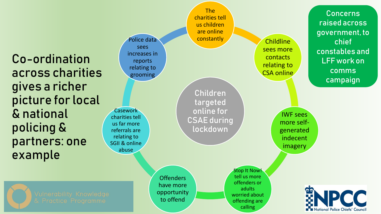Co-ordination across charities gives a richer picture for local & national policing & partners: one example

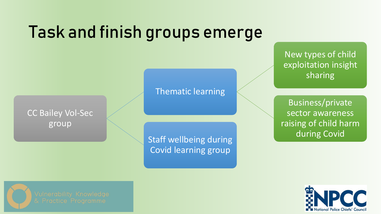## Task and finish groups emerge



### Thematic learning

Staff wellbeing during **Covid** during Covid Covid learning group

New types of child exploitation insight sharing

Business/private sector awareness raising of child harm